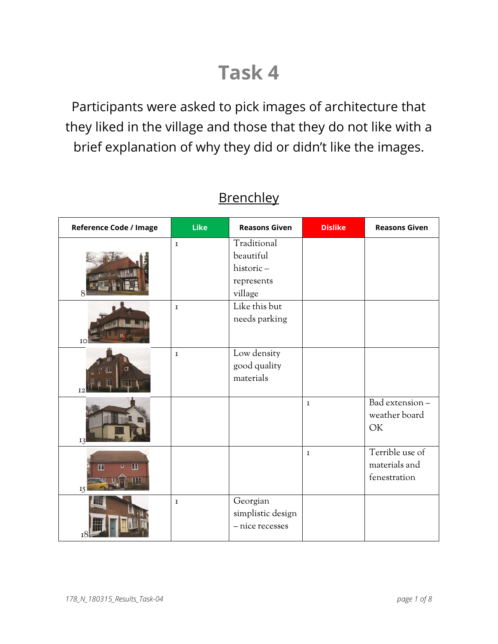## **Task 4**

Participants were asked to pick images of architecture that they liked in the village and those that they do not like with a brief explanation of why they did or didn't like the images.

| Reference Code / Image | Like        | <b>Reasons Given</b>                                           | <b>Dislike</b> | <b>Reasons Given</b>                             |
|------------------------|-------------|----------------------------------------------------------------|----------------|--------------------------------------------------|
|                        | $\mathbf I$ | Traditional<br>beautiful<br>historic-<br>represents<br>village |                |                                                  |
| IO                     | $\mathbf I$ | Like this but<br>needs parking                                 |                |                                                  |
| а                      | $\mathbf I$ | Low density<br>good quality<br>materials                       |                |                                                  |
| I3                     |             |                                                                | $\mathbf I$    | Bad extension-<br>weather board<br>OK            |
| m<br>匪<br>15           |             |                                                                | $\mathbf I$    | Terrible use of<br>materials and<br>fenestration |
|                        | $\mathbf I$ | Georgian<br>simplistic design<br>- nice recesses               |                |                                                  |

## **Brenchley**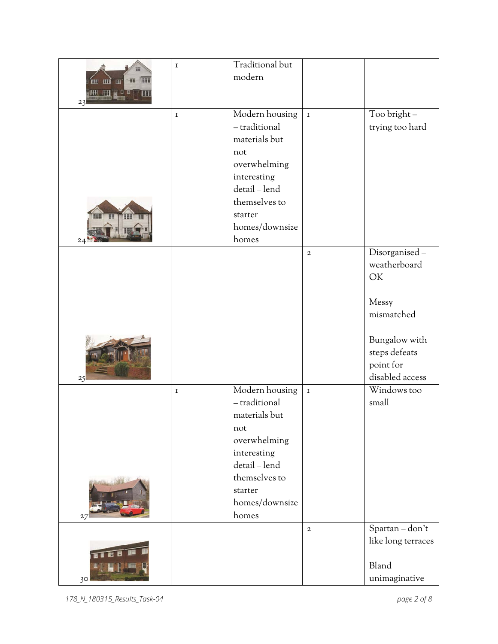|                           | $\mathbf I$ | Traditional but |             |                              |
|---------------------------|-------------|-----------------|-------------|------------------------------|
| HH<br>m mì<br>TH<br>88 AM |             | modern          |             |                              |
| 23                        | $\mathbf I$ | Modern housing  | $\mathbf I$ | Too bright -                 |
|                           |             | - traditional   |             | trying too hard              |
|                           |             | materials but   |             |                              |
|                           |             | not             |             |                              |
|                           |             | overwhelming    |             |                              |
|                           |             | interesting     |             |                              |
|                           |             | detail-lend     |             |                              |
|                           |             | themselves to   |             |                              |
|                           |             | starter         |             |                              |
|                           |             | homes/downsize  |             |                              |
| $_{24}$                   |             | homes           |             |                              |
|                           |             |                 | $\mathbf 2$ | Disorganised-                |
|                           |             |                 |             | weatherboard                 |
|                           |             |                 |             | OK                           |
|                           |             |                 |             |                              |
|                           |             |                 |             | Messy                        |
|                           |             |                 |             | mismatched                   |
|                           |             |                 |             |                              |
|                           |             |                 |             | Bungalow with                |
|                           |             |                 |             | steps defeats                |
|                           |             |                 |             | point for<br>disabled access |
| 25                        |             | Modern housing  | $\mathbf I$ | Windows too                  |
|                           | $\mathbf I$ | - traditional   |             | small                        |
|                           |             | materials but   |             |                              |
|                           |             | not             |             |                              |
|                           |             | overwhelming    |             |                              |
|                           |             | interesting     |             |                              |
|                           |             | detail-lend     |             |                              |
|                           |             | themselves to   |             |                              |
|                           |             | starter         |             |                              |
|                           |             | homes/downsize  |             |                              |
| 27                        |             | homes           |             |                              |
|                           |             |                 | $\,2\,$     | Spartan - don't              |
|                           |             |                 |             | like long terraces           |
|                           |             |                 |             |                              |
|                           |             |                 |             | Bland                        |
| 30 <sub>o</sub>           |             |                 |             | unimaginative                |

*178\_N\_180315\_Results\_Task-04 page 2 of 8*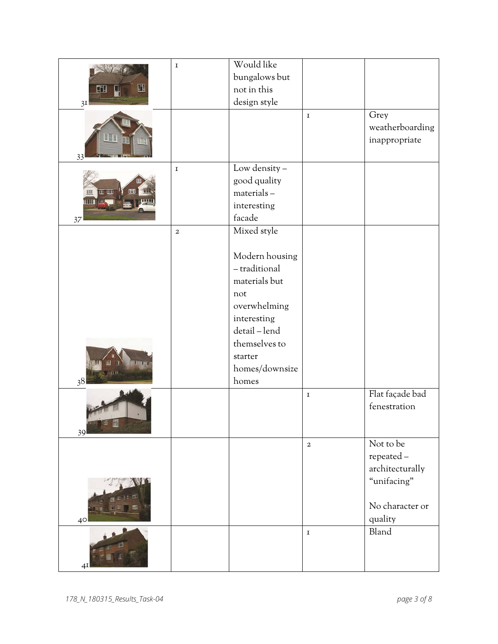|                 | $\mathbf I$    | Would like              |             |                 |
|-----------------|----------------|-------------------------|-------------|-----------------|
|                 |                | bungalows but           |             |                 |
| Щ<br>吅          |                | not in this             |             |                 |
| 3I              |                | design style            |             |                 |
|                 |                |                         | $\mathbf I$ | Grey            |
|                 |                |                         |             | weatherboarding |
|                 |                |                         |             | inappropriate   |
| 33              |                |                         |             |                 |
|                 | $\mathbf I$    | Low density -           |             |                 |
|                 |                | good quality            |             |                 |
| H III           |                | materials-              |             |                 |
|                 |                | interesting             |             |                 |
| 37              |                | facade                  |             |                 |
|                 | $\mathfrak{2}$ | Mixed style             |             |                 |
|                 |                |                         |             |                 |
|                 |                | Modern housing          |             |                 |
|                 |                | - traditional           |             |                 |
|                 |                | materials but           |             |                 |
|                 |                | not                     |             |                 |
|                 |                | overwhelming            |             |                 |
|                 |                | interesting             |             |                 |
|                 |                | detail-lend             |             |                 |
|                 |                | themselves to           |             |                 |
| <b>Time</b>     |                | starter                 |             |                 |
|                 |                | homes/downsize<br>homes |             |                 |
| 38              |                |                         | $\mathbf I$ | Flat façade bad |
|                 |                |                         |             | fenestration    |
|                 |                |                         |             |                 |
| - -<br>39       |                |                         |             |                 |
|                 |                |                         | $\,2\,$     | Not to be       |
|                 |                |                         |             | repeated-       |
|                 |                |                         |             | architecturally |
|                 |                |                         |             | "unifacing"     |
|                 |                |                         |             |                 |
|                 |                |                         |             | No character or |
| 40 <sup>°</sup> |                |                         |             | quality         |
|                 |                |                         | $\mathbf I$ | Bland           |
|                 |                |                         |             |                 |
| 4I              |                |                         |             |                 |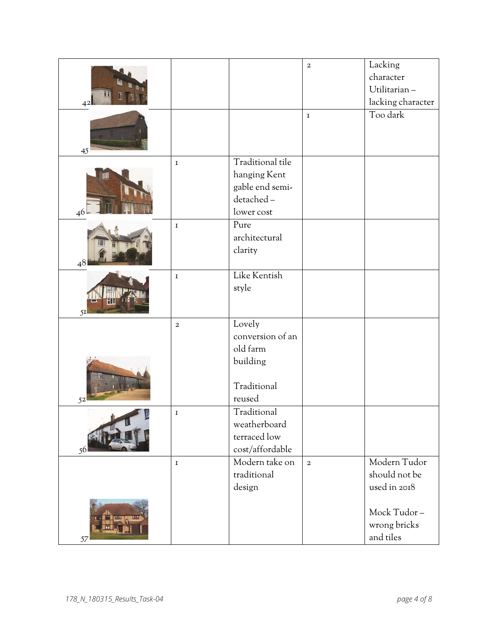|    |             |                  | $\mathbf 2$  | Lacking           |
|----|-------------|------------------|--------------|-------------------|
|    |             |                  |              | character         |
|    |             |                  |              | Utilitarian-      |
| 42 |             |                  |              | lacking character |
|    |             |                  | $\mathbf I$  | Too dark          |
|    |             |                  |              |                   |
|    |             |                  |              |                   |
| 45 |             |                  |              |                   |
|    | $\mathbf I$ | Traditional tile |              |                   |
|    |             | hanging Kent     |              |                   |
|    |             | gable end semi-  |              |                   |
|    |             | detached-        |              |                   |
| 46 |             | lower cost       |              |                   |
|    | $\mathbf I$ | Pure             |              |                   |
|    |             | architectural    |              |                   |
|    |             | clarity          |              |                   |
| 48 |             |                  |              |                   |
|    | $\mathbf I$ | Like Kentish     |              |                   |
|    |             | style            |              |                   |
| 5I |             |                  |              |                   |
|    | $\,2\,$     | Lovely           |              |                   |
|    |             | conversion of an |              |                   |
|    |             | old farm         |              |                   |
|    |             | building         |              |                   |
|    |             |                  |              |                   |
|    |             | Traditional      |              |                   |
| 52 |             | reused           |              |                   |
|    | $\mathbf I$ | Traditional      |              |                   |
|    |             | weatherboard     |              |                   |
|    |             | terraced low     |              |                   |
| 56 |             | cost/affordable  |              |                   |
|    | $\mathbf I$ | Modern take on   | $\mathbf{2}$ | Modern Tudor      |
|    |             | traditional      |              | should not be     |
|    |             | design           |              | used in 2018      |
|    |             |                  |              |                   |
|    |             |                  |              | Mock Tudor-       |
|    |             |                  |              | wrong bricks      |
| 57 |             |                  |              | and tiles         |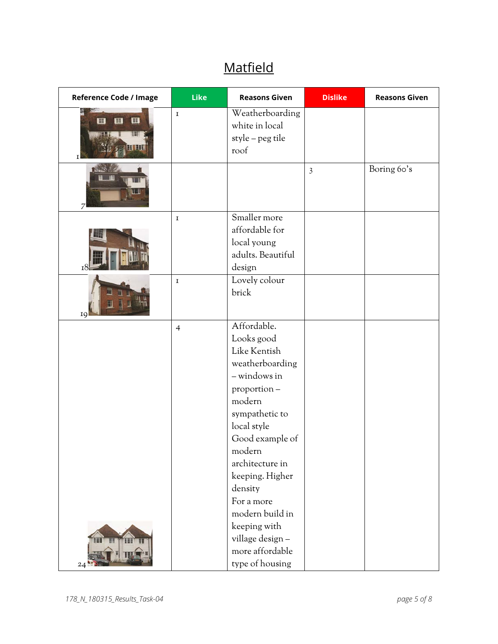## **Matfield**

| Reference Code / Image            | Like           | <b>Reasons Given</b>                                                                                                                                                                                                                                  | <b>Dislike</b> | <b>Reasons Given</b> |
|-----------------------------------|----------------|-------------------------------------------------------------------------------------------------------------------------------------------------------------------------------------------------------------------------------------------------------|----------------|----------------------|
| $\blacksquare$<br>m<br>H<br>n nac | $\mathbf I$    | Weatherboarding<br>white in local<br>style - peg tile<br>roof                                                                                                                                                                                         |                |                      |
|                                   |                |                                                                                                                                                                                                                                                       | $\overline{3}$ | Boring 60's          |
|                                   | $\mathbf I$    | Smaller more<br>affordable for<br>local young<br>adults. Beautiful<br>design                                                                                                                                                                          |                |                      |
| IQ                                | $\mathbf I$    | Lovely colour<br>brick                                                                                                                                                                                                                                |                |                      |
|                                   | $\overline{4}$ | Affordable.<br>Looks good<br>Like Kentish<br>weatherboarding<br>- windows in<br>proportion-<br>modern<br>sympathetic to<br>local style<br>Good example of<br>modern<br>architecture in<br>keeping. Higher<br>density<br>For a more<br>modern build in |                |                      |
| 24                                |                | keeping with<br>village design-<br>more affordable<br>type of housing                                                                                                                                                                                 |                |                      |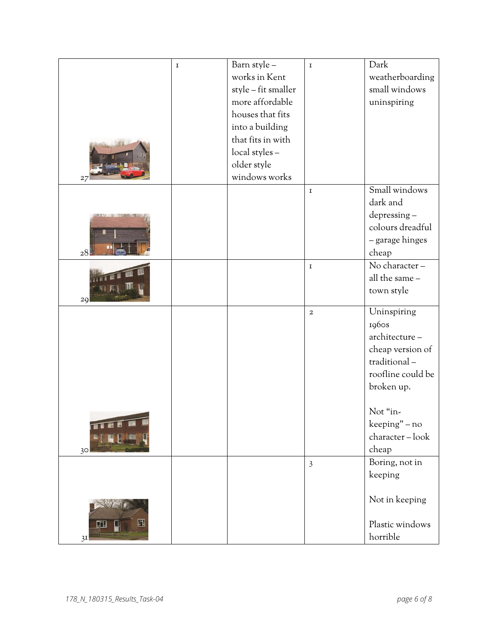|                 | $\mathbf I$ | Barn style -        | $\mathbf I$    | Dark              |
|-----------------|-------------|---------------------|----------------|-------------------|
|                 |             | works in Kent       |                | weatherboarding   |
|                 |             | style - fit smaller |                | small windows     |
|                 |             | more affordable     |                | uninspiring       |
|                 |             | houses that fits    |                |                   |
|                 |             | into a building     |                |                   |
|                 |             | that fits in with   |                |                   |
|                 |             | local styles -      |                |                   |
|                 |             | older style         |                |                   |
| 27              |             | windows works       |                |                   |
|                 |             |                     | $\mathbf I$    | Small windows     |
|                 |             |                     |                | dark and          |
|                 |             |                     |                | depressing-       |
|                 |             |                     |                | colours dreadful  |
|                 |             |                     |                | - garage hinges   |
| 28              |             |                     |                | cheap             |
|                 |             |                     | $\mathbf I$    | No character-     |
|                 |             |                     |                | all the same -    |
| 29              |             |                     |                | town style        |
|                 |             |                     | $\mathbf 2$    | Uninspiring       |
|                 |             |                     |                | 1960s             |
|                 |             |                     |                | architecture-     |
|                 |             |                     |                | cheap version of  |
|                 |             |                     |                | traditional-      |
|                 |             |                     |                | roofline could be |
|                 |             |                     |                | broken up.        |
|                 |             |                     |                | Not "in-          |
|                 |             |                     |                | keeping" - no     |
|                 |             |                     |                | character-look    |
| 30 <sup>°</sup> |             |                     |                | cheap             |
|                 |             |                     | $\overline{3}$ | Boring, not in    |
|                 |             |                     |                | keeping           |
|                 |             |                     |                |                   |
|                 |             |                     |                | Not in keeping    |
|                 |             |                     |                |                   |
| Щ<br>吅<br>Щ     |             |                     |                | Plastic windows   |
| 3I              |             |                     |                | horrible          |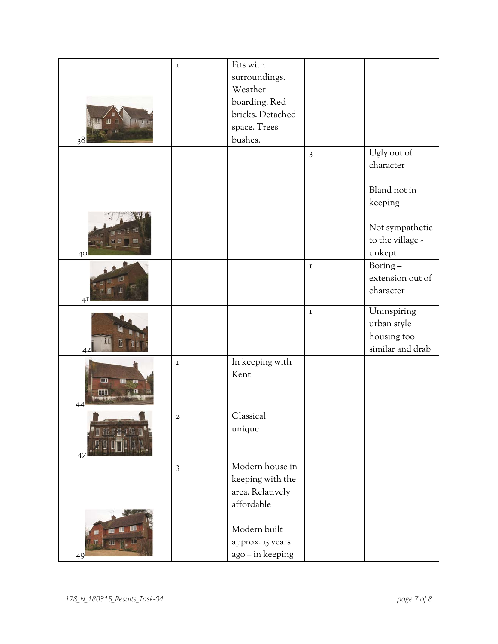|                 | $\mathbf I$    | Fits with<br>surroundings.     |                |                                 |
|-----------------|----------------|--------------------------------|----------------|---------------------------------|
|                 |                | Weather                        |                |                                 |
|                 |                | boarding. Red                  |                |                                 |
|                 |                | bricks. Detached               |                |                                 |
| 18              |                | space. Trees                   |                |                                 |
| 38              |                | bushes.                        |                |                                 |
|                 |                |                                | $\overline{3}$ | Ugly out of                     |
|                 |                |                                |                | character                       |
|                 |                |                                |                |                                 |
|                 |                |                                |                | Bland not in                    |
|                 |                |                                |                | keeping                         |
|                 |                |                                |                |                                 |
|                 |                |                                |                | Not sympathetic                 |
|                 |                |                                |                | to the village -                |
| 40 <sup>°</sup> |                |                                |                | unkept                          |
|                 |                |                                | $\mathbf I$    | Boring-                         |
|                 |                |                                |                | extension out of                |
|                 |                |                                |                | character                       |
| 4I              |                |                                |                |                                 |
|                 |                |                                | $\mathbf I$    | Uninspiring                     |
|                 |                |                                |                | urban style                     |
|                 |                |                                |                | housing too<br>similar and drab |
| 42              |                | In keeping with                |                |                                 |
|                 | $\mathbf I$    | Kent                           |                |                                 |
| EEB             |                |                                |                |                                 |
| Ħ               |                |                                |                |                                 |
| 44              |                |                                |                |                                 |
|                 | $\,2\,$        | Classical                      |                |                                 |
|                 |                | unique                         |                |                                 |
|                 |                |                                |                |                                 |
| 47              |                |                                |                |                                 |
|                 | $\overline{3}$ | Modern house in                |                |                                 |
|                 |                | keeping with the               |                |                                 |
|                 |                | area. Relatively<br>affordable |                |                                 |
|                 |                |                                |                |                                 |
|                 |                | Modern built                   |                |                                 |
|                 |                | approx. 15 years               |                |                                 |
|                 |                | ago - in keeping               |                |                                 |
| 49              |                |                                |                |                                 |